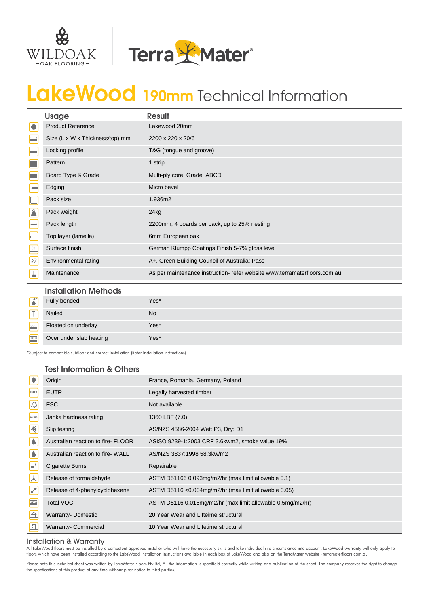



# LakeWood 190mm Technical Information

|                          | <b>Usage</b>                    | <b>Result</b>                                                             |
|--------------------------|---------------------------------|---------------------------------------------------------------------------|
| $\bullet$                | <b>Product Reference</b>        | Lakewood 20mm                                                             |
| E                        | Size (L x W x Thickness/top) mm | 2200 x 220 x 20/6                                                         |
| $\equiv$                 | Locking profile                 | T&G (tongue and groove)                                                   |
| $\blacksquare$           | Pattern                         | 1 strip                                                                   |
| $\blacksquare$           | Board Type & Grade              | Multi-ply core. Grade: ABCD                                               |
| $\overline{\phantom{a}}$ | Edging                          | Micro bevel                                                               |
| L                        | Pack size                       | 1.936m2                                                                   |
| $\mathbf{r}$             | Pack weight                     | 24kg                                                                      |
| $\vdash$                 | Pack length                     | 2200mm, 4 boards per pack, up to 25% nesting                              |
| $\equiv$                 | Top layer (lamella)             | 6mm European oak                                                          |
| $\frac{1}{2}$            | Surface finish                  | German Klumpp Coatings Finish 5-7% gloss level                            |
| C                        | Environmental rating            | A+. Green Building Council of Australia: Pass                             |
| ╧                        | Maintenance                     | As per maintenance instruction- refer website www.terramaterfloors.com.au |

### Installation Methods

|             | _____________________________ |           |
|-------------|-------------------------------|-----------|
| $\sqrt{2}$  | Fully bonded                  | Yes*      |
| <b>Sept</b> | Nailed                        | <b>No</b> |
| $\equiv$    | Floated on underlay           | Yes*      |
| 33333       | Over under slab heating       | Yes*      |

\*Subject to compatible subfloor and correct installation (Refer Installation Instructions)

|                                                       | <b>Test Information &amp; Others</b> |                                                            |
|-------------------------------------------------------|--------------------------------------|------------------------------------------------------------|
| $\bullet$                                             | Origin                               | France, Romania, Germany, Poland                           |
| EUTR                                                  | <b>EUTR</b>                          | Legally harvested timber                                   |
| $\mathbb{Q}$                                          | <b>FSC</b>                           | Not available                                              |
| <b>JANKA</b>                                          | Janka hardness rating                | 1360 LBF (7.0)                                             |
| $\overline{\mathbf{K}}$                               | Slip testing                         | AS/NZS 4586-2004 Wet: P3, Dry: D1                          |
| $\bullet$                                             | Australian reaction to fire-FLOOR    | ASISO 9239-1:2003 CRF 3.6kwm2, smoke value 19%             |
| $\bullet$                                             | Australian reaction to fire-WALL     | AS/NZS 3837:1998 58.3kw/m2                                 |
| $\left  \rule{0pt}{10pt}\right.$                      | Cigarette Burns                      | Repairable                                                 |
| $\lambda$                                             | Release of formaldehyde              | ASTM D51166 0.093mg/m2/hr (max limit allowable 0.1)        |
| $ \mathcal{L} $                                       | Release of 4-phenylcyclohexene       | ASTM D5116 <0.004mg/m2/hr (max limit allowable 0.05)       |
| $\frac{\overline{\text{max}}}{\overline{\text{max}}}$ | <b>Total VOC</b>                     | ASTM D5116 0.016mg/m2/hr (max limit allowable 0.5mg/m2/hr) |
| $\triangle$                                           | <b>Warranty-Domestic</b>             | 20 Year Wear and Lifteime structural                       |
| 風                                                     | <b>Warranty- Commercial</b>          | 10 Year Wear and Lifetime structural                       |

#### Installation & Warranty

All LakeWood floors must be installed by a competent approved installer who will have the necessary skills and take individual site circumstance into account. LakeWood warranty will only apply to<br>floors which have been ins

Please note this technical sheet was written by TerraMater Floors Pty Ltd, All the information is specifield correctly while writing and publication of the sheet. The company reserves the right to change the specfications of this product at any time withour piror notice to third parties.